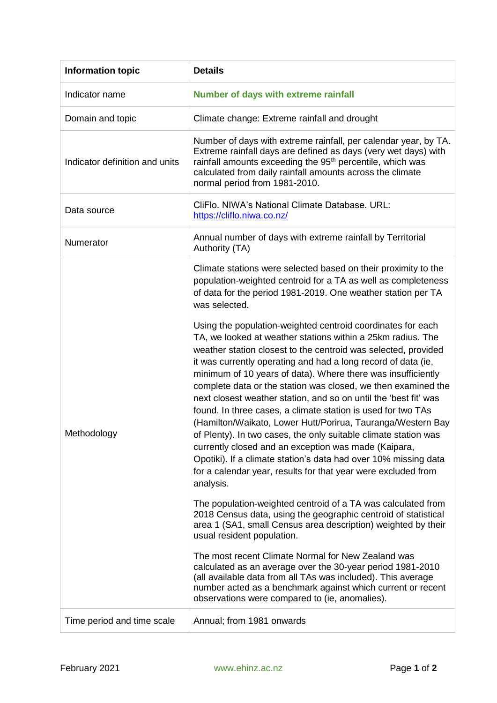| <b>Information topic</b>       | <b>Details</b>                                                                                                                                                                                                                                                                                                                                                                                                                                                                                                                                                                                                                                                                                                                                                                                                                                                                |
|--------------------------------|-------------------------------------------------------------------------------------------------------------------------------------------------------------------------------------------------------------------------------------------------------------------------------------------------------------------------------------------------------------------------------------------------------------------------------------------------------------------------------------------------------------------------------------------------------------------------------------------------------------------------------------------------------------------------------------------------------------------------------------------------------------------------------------------------------------------------------------------------------------------------------|
| Indicator name                 | <b>Number of days with extreme rainfall</b>                                                                                                                                                                                                                                                                                                                                                                                                                                                                                                                                                                                                                                                                                                                                                                                                                                   |
| Domain and topic               | Climate change: Extreme rainfall and drought                                                                                                                                                                                                                                                                                                                                                                                                                                                                                                                                                                                                                                                                                                                                                                                                                                  |
| Indicator definition and units | Number of days with extreme rainfall, per calendar year, by TA.<br>Extreme rainfall days are defined as days (very wet days) with<br>rainfall amounts exceeding the 95 <sup>th</sup> percentile, which was<br>calculated from daily rainfall amounts across the climate<br>normal period from 1981-2010.                                                                                                                                                                                                                                                                                                                                                                                                                                                                                                                                                                      |
| Data source                    | CliFlo. NIWA's National Climate Database. URL:<br>https://cliflo.niwa.co.nz/                                                                                                                                                                                                                                                                                                                                                                                                                                                                                                                                                                                                                                                                                                                                                                                                  |
| Numerator                      | Annual number of days with extreme rainfall by Territorial<br>Authority (TA)                                                                                                                                                                                                                                                                                                                                                                                                                                                                                                                                                                                                                                                                                                                                                                                                  |
| Methodology                    | Climate stations were selected based on their proximity to the<br>population-weighted centroid for a TA as well as completeness<br>of data for the period 1981-2019. One weather station per TA<br>was selected.                                                                                                                                                                                                                                                                                                                                                                                                                                                                                                                                                                                                                                                              |
|                                | Using the population-weighted centroid coordinates for each<br>TA, we looked at weather stations within a 25km radius. The<br>weather station closest to the centroid was selected, provided<br>it was currently operating and had a long record of data (ie,<br>minimum of 10 years of data). Where there was insufficiently<br>complete data or the station was closed, we then examined the<br>next closest weather station, and so on until the 'best fit' was<br>found. In three cases, a climate station is used for two TAs<br>(Hamilton/Waikato, Lower Hutt/Porirua, Tauranga/Western Bay<br>of Plenty). In two cases, the only suitable climate station was<br>currently closed and an exception was made (Kaipara,<br>Opotiki). If a climate station's data had over 10% missing data<br>for a calendar year, results for that year were excluded from<br>analysis. |
|                                | The population-weighted centroid of a TA was calculated from<br>2018 Census data, using the geographic centroid of statistical<br>area 1 (SA1, small Census area description) weighted by their<br>usual resident population.                                                                                                                                                                                                                                                                                                                                                                                                                                                                                                                                                                                                                                                 |
|                                | The most recent Climate Normal for New Zealand was<br>calculated as an average over the 30-year period 1981-2010<br>(all available data from all TAs was included). This average<br>number acted as a benchmark against which current or recent<br>observations were compared to (ie, anomalies).                                                                                                                                                                                                                                                                                                                                                                                                                                                                                                                                                                             |
| Time period and time scale     | Annual; from 1981 onwards                                                                                                                                                                                                                                                                                                                                                                                                                                                                                                                                                                                                                                                                                                                                                                                                                                                     |